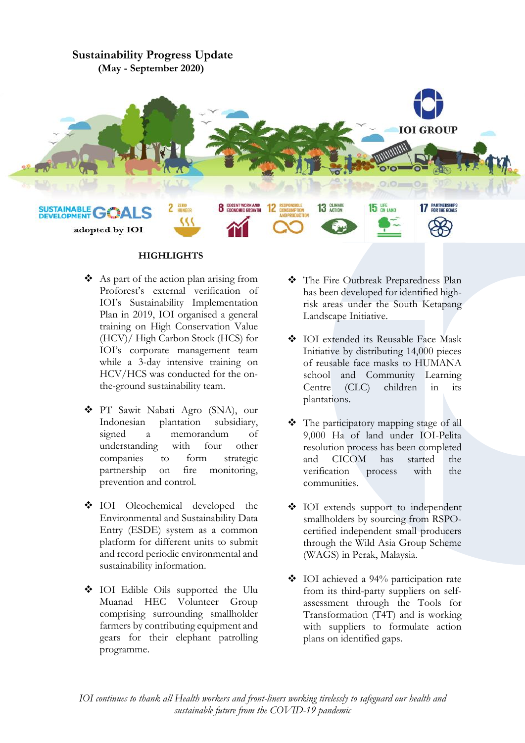# **Sustainability Progress Update (May - September 2020)**



# **HIGHLIGHTS**

- ❖ As part of the action plan arising from Proforest's external verification of IOI's Sustainability Implementation Plan in 2019, IOI organised a general training on High Conservation Value (HCV)/ High Carbon Stock (HCS) for IOI's corporate management team while a 3-day intensive training on HCV/HCS was conducted for the onthe-ground sustainability team.
- ❖ PT Sawit Nabati Agro (SNA), our Indonesian plantation subsidiary, signed a memorandum of understanding with four other companies to form strategic partnership on fire monitoring, prevention and control.
- ❖ IOI Oleochemical developed the Environmental and Sustainability Data Entry (ESDE) system as a common platform for different units to submit and record periodic environmental and sustainability information.
- ❖ IOI Edible Oils supported the Ulu Muanad HEC Volunteer Group comprising surrounding smallholder farmers by contributing equipment and gears for their elephant patrolling programme.
- ❖ The Fire Outbreak Preparedness Plan has been developed for identified highrisk areas under the South Ketapang Landscape Initiative.
- ❖ IOI extended its Reusable Face Mask Initiative by distributing 14,000 pieces of reusable face masks to HUMANA school and Community Learning Centre (CLC) children in its plantations.
- ❖ The participatory mapping stage of all 9,000 Ha of land under IOI-Pelita resolution process has been completed and CICOM has started the verification process with the communities.
- ❖ IOI extends support to independent smallholders by sourcing from RSPOcertified independent small producers through the Wild Asia Group Scheme (WAGS) in Perak, Malaysia.
- ❖ IOI achieved a 94% participation rate from its third-party suppliers on selfassessment through the Tools for Transformation (T4T) and is working with suppliers to formulate action plans on identified gaps.

*IOI continues to thank all Health workers and front-liners working tirelessly to safeguard our health and sustainable future from the COVID-19 pandemic*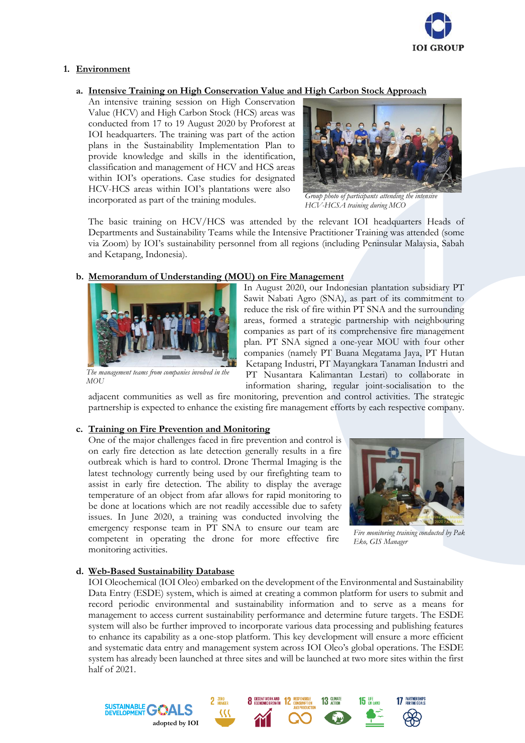

# **1. Environment**

# **a. Intensive Training on High Conservation Value and High Carbon Stock Approach**

An intensive training session on High Conservation Value (HCV) and High Carbon Stock (HCS) areas was conducted from 17 to 19 August 2020 by Proforest at IOI headquarters. The training was part of the action plans in the Sustainability Implementation Plan to provide knowledge and skills in the identification, classification and management of HCV and HCS areas within IOI's operations. Case studies for designated HCV-HCS areas within IOI's plantations were also incorporated as part of the training modules.



*Group photo of participants attending the intensive HCV-HCSA training during MCO*

The basic training on HCV/HCS was attended by the relevant IOI headquarters Heads of Departments and Sustainability Teams while the Intensive Practitioner Training was attended (some via Zoom) by IOI's sustainability personnel from all regions (including Peninsular Malaysia, Sabah and Ketapang, Indonesia).

### **b. Memorandum of Understanding (MOU) on Fire Management**



*The management teams from companies involved in the MOU*

In August 2020, our Indonesian plantation subsidiary PT Sawit Nabati Agro (SNA), as part of its commitment to reduce the risk of fire within PT SNA and the surrounding areas, formed a strategic partnership with neighbouring companies as part of its comprehensive fire management plan. PT SNA signed a one-year MOU with four other companies (namely PT Buana Megatama Jaya, PT Hutan Ketapang Industri, PT Mayangkara Tanaman Industri and PT Nusantara Kalimantan Lestari) to collaborate in information sharing, regular joint-socialisation to the

adjacent communities as well as fire monitoring, prevention and control activities. The strategic partnership is expected to enhance the existing fire management efforts by each respective company.

### **c. Training on Fire Prevention and Monitoring**

One of the major challenges faced in fire prevention and control is on early fire detection as late detection generally results in a fire outbreak which is hard to control. Drone Thermal Imaging is the latest technology currently being used by our firefighting team to assist in early fire detection. The ability to display the average temperature of an object from afar allows for rapid monitoring to be done at locations which are not readily accessible due to safety issues. In June 2020, a training was conducted involving the emergency response team in PT SNA to ensure our team are competent in operating the drone for more effective fire monitoring activities.



*Fire monitoring training conducted by Pak Eko, GIS Manager*

#### **d. Web-Based Sustainability Database**

**adopted by IOI**

SUSTAINABLE GOA

IOI Oleochemical (IOI Oleo) embarked on the development of the Environmental and Sustainability Data Entry (ESDE) system, which is aimed at creating a common platform for users to submit and record periodic environmental and sustainability information and to serve as a means for management to access current sustainability performance and determine future targets. The ESDE system will also be further improved to incorporate various data processing and publishing features to enhance its capability as a one-stop platform. This key development will ensure a more efficient and systematic data entry and management system across IOI Oleo's global operations. The ESDE system has already been launched at three sites and will be launched at two more sites within the first half of 2021.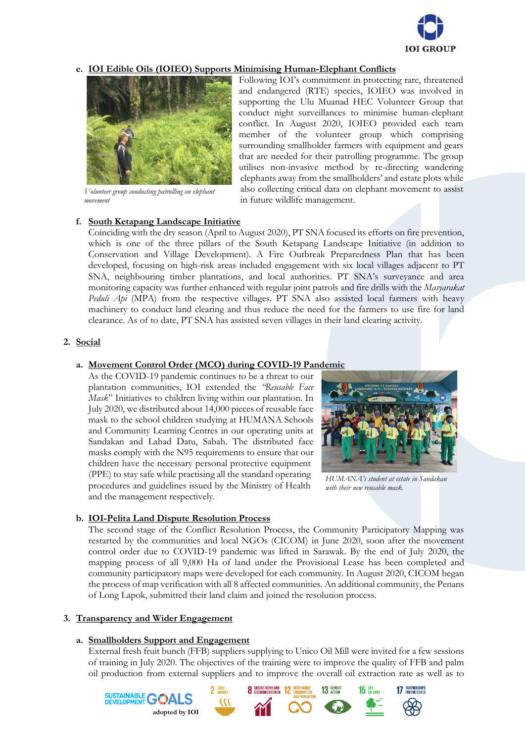

# **e. IOI Edible Oils (IOIEO) Supports Minimising Human-Elephant Conflicts**



*Volunteer group conducting patrolling on elephant movement*

# **f. South Ketapang Landscape Initiative**

Following IOI's commitment in protecting rare, threatened and endangered (RTE) species, IOIEO was involved in supporting the Ulu Muanad HEC Volunteer Group that conduct night surveillances to minimise human-elephant conflict. In August 2020, IOIEO provided each team member of the volunteer group which comprising surrounding smallholder farmers with equipment and gears that are needed for their patrolling programme. The group utilises non-invasive method by re-directing wandering elephants away from the smallholders' and estate plots while also collecting critical data on elephant movement to assist in future wildlife management.

Coinciding with the dry season (April to August 2020), PT SNA focused its efforts on fire prevention, which is one of the three pillars of the South Ketapang Landscape Initiative (in addition to Conservation and Village Development). A Fire Outbreak Preparedness Plan that has been developed, focusing on high-risk areas included engagement with six local villages adjacent to PT SNA, neighbouring timber plantations, and local authorities. PT SNA's surveyance and area monitoring capacity was further enhanced with regular joint patrols and fire drills with the *Masyarakat Peduli Api* (MPA) from the respective villages. PT SNA also assisted local farmers with heavy machinery to conduct land clearing and thus reduce the need for the farmers to use fire for land clearance. As of to date, PT SNA has assisted seven villages in their land clearing activity.

### **2. Social**

#### **a. Movement Control Order (MCO) during COVID-19 Pandemic**

As the COVID-19 pandemic continues to be a threat to our plantation communities, IOI extended the *"Reusable Face Mask*" Initiatives to children living within our plantation. In July 2020, we distributed about 14,000 pieces of reusable face mask to the school children studying at HUMANA Schools and Community Learning Centres in our operating units at Sandakan and Lahad Datu, Sabah. The distributed face masks comply with the N95 requirements to ensure that our children have the necessary personal protective equipment (PPE) to stay safe while practising all the standard operating procedures and guidelines issued by the Ministry of Health and the management respectively.



*HUMANA's student at estate in Sandakan with their new reusable mask.*

### **b. IOI-Pelita Land Dispute Resolution Process**

The second stage of the Conflict Resolution Process, the Community Participatory Mapping was restarted by the communities and local NGOs (CICOM) in June 2020, soon after the movement control order due to COVID-19 pandemic was lifted in Sarawak. By the end of July 2020, the mapping process of all 9,000 Ha of land under the Provisional Lease has been completed and community participatory maps were developed for each community. In August 2020, CICOM began the process of map verification with all 8 affected communities. An additional community, the Penans of Long Lapok, submitted their land claim and joined the resolution process.

#### **3. Transparency and Wider Engagement**

SUSTAINABLE **G** 

#### **a. Smallholders Support and Engagement**

**adopted by IOI**

External fresh fruit bunch (FFB) suppliers supplying to Unico Oil Mill were invited for a few sessions of training in July 2020. The objectives of the training were to improve the quality of FFB and palm oil production from external suppliers and to improve the overall oil extraction rate as well as to

**8** DECENT WORK AND